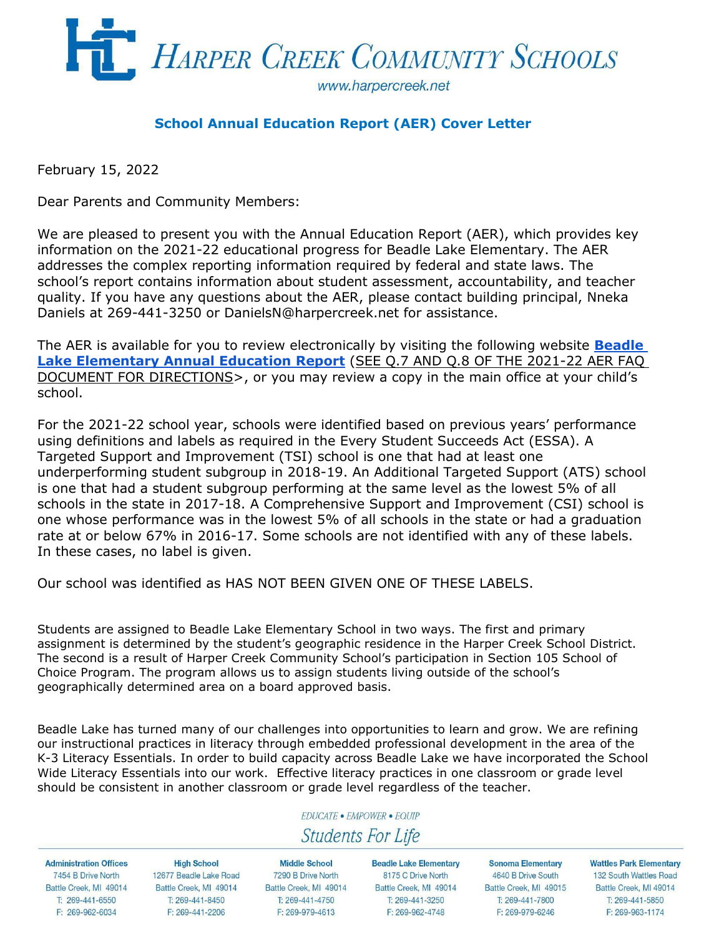

### **School Annual Education Report (AER) Cover Letter**

February 15, 2022

Dear Parents and Community Members:

We are pleased to present you with the Annual Education Report (AER), which provides key information on the 2021-22 educational progress for Beadle Lake Elementary. The AER addresses the complex reporting information required by federal and state laws. The school's report contains information about student assessment, accountability, and teacher quality. If you have any questions about the AER, please contact building principal, Nneka Daniels at 269-441-3250 or DanielsN@harpercreek.net for assistance.

The AER is available for you to review electronically by visiting the following website **[Beadle](https://drive.google.com/file/d/1GBtUTbusRGSVQgzI-ocYRK6LlBWS1DWD/view?usp=sharing)  [Lake Elementary Annual Education](https://drive.google.com/file/d/1GBtUTbusRGSVQgzI-ocYRK6LlBWS1DWD/view?usp=sharing) Report** (SEE Q.7 AND Q.8 OF THE 2021-22 AER FAQ DOCUMENT FOR DIRECTIONS>, or you may review a copy in the main office at your child's school.

For the 2021-22 school year, schools were identified based on previous years' performance using definitions and labels as required in the Every Student Succeeds Act (ESSA). A Targeted Support and Improvement (TSI) school is one that had at least one underperforming student subgroup in 2018-19. An Additional Targeted Support (ATS) school is one that had a student subgroup performing at the same level as the lowest 5% of all schools in the state in 2017-18. A Comprehensive Support and Improvement (CSI) school is one whose performance was in the lowest 5% of all schools in the state or had a graduation rate at or below 67% in 2016-17. Some schools are not identified with any of these labels. In these cases, no label is given.

Our school was identified as HAS NOT BEEN GIVEN ONE OF THESE LABELS.

Students are assigned to Beadle Lake Elementary School in two ways. The first and primary assignment is determined by the student's geographic residence in the Harper Creek School District. The second is a result of Harper Creek Community School's participation in Section 105 School of Choice Program. The program allows us to assign students living outside of the school's geographically determined area on a board approved basis.

Beadle Lake has turned many of our challenges into opportunities to learn and grow. We are refining our instructional practices in literacy through embedded professional development in the area of the K-3 Literacy Essentials. In order to build capacity across Beadle Lake we have incorporated the School Wide Literacy Essentials into our work. Effective literacy practices in one classroom or grade level should be consistent in another classroom or grade level regardless of the teacher.

#### **EDUCATE · EMPOWER · EQUIP**

# **Students For Life**

**Administration Offices** 7454 B Drive North Battle Creek, MI 49014 T: 269-441-6550 F: 269-962-6034

**High School** 12677 Beadle Lake Road Battle Creek, MI 49014 T: 269-441-8450 F: 269-441-2206

**Middle School** 7290 B Drive North Battle Creek, MI 49014 T: 269-441-4750 F: 269-979-4613

**Beadle Lake Elementary** 8175 C Drive North Battle Creek, MI 49014 T: 269-441-3250 F: 269-962-4748

Sonoma Elementary 4640 B Drive South Battle Creek, MI 49015 T: 269-441-7800 F: 269-979-6246

**Wattles Park Elementary** 132 South Wattles Road

Battle Creek, MI 49014 T: 269-441-5850 F: 269-963-1174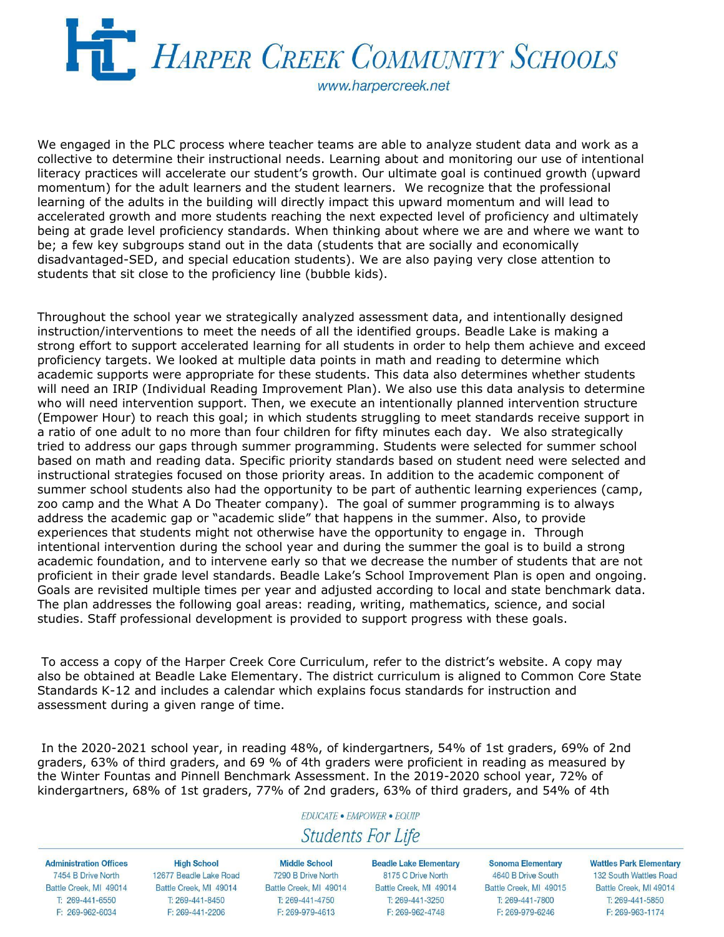

We engaged in the PLC process where teacher teams are able to analyze student data and work as a collective to determine their instructional needs. Learning about and monitoring our use of intentional literacy practices will accelerate our student's growth. Our ultimate goal is continued growth (upward momentum) for the adult learners and the student learners. We recognize that the professional learning of the adults in the building will directly impact this upward momentum and will lead to accelerated growth and more students reaching the next expected level of proficiency and ultimately being at grade level proficiency standards. When thinking about where we are and where we want to be; a few key subgroups stand out in the data (students that are socially and economically disadvantaged-SED, and special education students). We are also paying very close attention to students that sit close to the proficiency line (bubble kids).

Throughout the school year we strategically analyzed assessment data, and intentionally designed instruction/interventions to meet the needs of all the identified groups. Beadle Lake is making a strong effort to support accelerated learning for all students in order to help them achieve and exceed proficiency targets. We looked at multiple data points in math and reading to determine which academic supports were appropriate for these students. This data also determines whether students will need an IRIP (Individual Reading Improvement Plan). We also use this data analysis to determine who will need intervention support. Then, we execute an intentionally planned intervention structure (Empower Hour) to reach this goal; in which students struggling to meet standards receive support in a ratio of one adult to no more than four children for fifty minutes each day. We also strategically tried to address our gaps through summer programming. Students were selected for summer school based on math and reading data. Specific priority standards based on student need were selected and instructional strategies focused on those priority areas. In addition to the academic component of summer school students also had the opportunity to be part of authentic learning experiences (camp, zoo camp and the What A Do Theater company). The goal of summer programming is to always address the academic gap or "academic slide" that happens in the summer. Also, to provide experiences that students might not otherwise have the opportunity to engage in. Through intentional intervention during the school year and during the summer the goal is to build a strong academic foundation, and to intervene early so that we decrease the number of students that are not proficient in their grade level standards. Beadle Lake's School Improvement Plan is open and ongoing. Goals are revisited multiple times per year and adjusted according to local and state benchmark data. The plan addresses the following goal areas: reading, writing, mathematics, science, and social studies. Staff professional development is provided to support progress with these goals.

To access a copy of the Harper Creek Core Curriculum, refer to the district's website. A copy may also be obtained at Beadle Lake Elementary. The district curriculum is aligned to Common Core State Standards K-12 and includes a calendar which explains focus standards for instruction and assessment during a given range of time.

In the 2020-2021 school year, in reading 48%, of kindergartners, 54% of 1st graders, 69% of 2nd graders, 63% of third graders, and 69 % of 4th graders were proficient in reading as measured by the Winter Fountas and Pinnell Benchmark Assessment. In the 2019-2020 school year, 72% of kindergartners, 68% of 1st graders, 77% of 2nd graders, 63% of third graders, and 54% of 4th

### **EDUCATE · EMPOWER · EQUIP**

## **Students For Life**

**Administration Offices** 7454 B Drive North Battle Creek, MI 49014 T: 269-441-6550 F: 269-962-6034

**High School** 12677 Beadle Lake Road Battle Creek, MI 49014 T: 269-441-8450 F: 269-441-2206

**Middle School** 7290 B Drive North Battle Creek, MI 49014 T: 269-441-4750 F: 269-979-4613

Beadle Lake Elementary 8175 C Drive North Battle Creek, MI 49014 T: 269-441-3250 F: 269-962-4748

Sonoma Elementary 4640 B Drive South Battle Creek, MI 49015 T: 269-441-7800 F: 269-979-6246

**Wattles Park Elementary** 132 South Wattles Road

Battle Creek, MI 49014 T: 269-441-5850 F: 269-963-1174